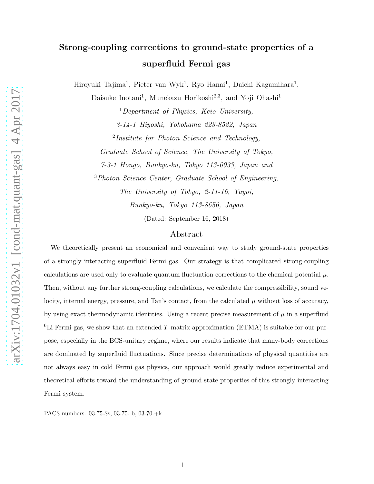## Strong-coupling corrections to ground-state properties of a superfluid Fermi gas

Hiroyuki Tajima<sup>1</sup>, Pieter van Wyk<sup>1</sup>, Ryo Hanai<sup>1</sup>, Daichi Kagamihara<sup>1</sup>,

Daisuke Inotani<sup>1</sup>, Munekazu Horikoshi<sup>2,3</sup>, and Yoji Ohashi<sup>1</sup>

<sup>1</sup>Department of Physics, Keio University, 3-14-1 Hiyoshi, Yokohama 223-8522, Japan <sup>2</sup>Institute for Photon Science and Technology, Graduate School of Science, The University of Tokyo, 7-3-1 Hongo, Bunkyo-ku, Tokyo 113-0033, Japan and <sup>3</sup>Photon Science Center, Graduate School of Engineering, The University of Tokyo, 2-11-16, Yayoi,

Bunkyo-ku, Tokyo 113-8656, Japan

(Dated: September 16, 2018)

## Abstract

We theoretically present an economical and convenient way to study ground-state properties of a strongly interacting superfluid Fermi gas. Our strategy is that complicated strong-coupling calculations are used only to evaluate quantum fluctuation corrections to the chemical potential  $\mu$ . Then, without any further strong-coupling calculations, we calculate the compressibility, sound velocity, internal energy, pressure, and Tan's contact, from the calculated  $\mu$  without loss of accuracy, by using exact thermodynamic identities. Using a recent precise measurement of  $\mu$  in a superfluid  ${}^{6}$ Li Fermi gas, we show that an extended T-matrix approximation (ETMA) is suitable for our purpose, especially in the BCS-unitary regime, where our results indicate that many-body corrections are dominated by superfluid fluctuations. Since precise determinations of physical quantities are not always easy in cold Fermi gas physics, our approach would greatly reduce experimental and theoretical efforts toward the understanding of ground-state properties of this strongly interacting Fermi system.

PACS numbers: 03.75.Ss, 03.75.-b, 03.70.+k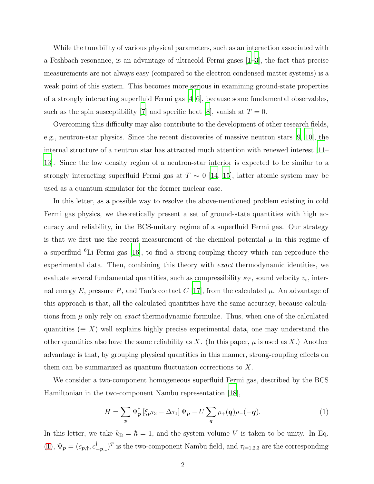While the tunability of various physical parameters, such as an interaction associated with a Feshbach resonance, is an advantage of ultracold Fermi gases [\[1](#page-9-0)[–3](#page-9-1)], the fact that precise measurements are not always easy (compared to the electron condensed matter systems) is a weak point of this system. This becomes more serious in examining ground-state properties of a strongly interacting superfluid Fermi gas [\[4](#page-9-2)[–6](#page-9-3)], because some fundamental observables, such as the spin susceptibility [\[7\]](#page-9-4) and specific heat [\[8\]](#page-9-5), vanish at  $T = 0$ .

Overcoming this difficulty may also contribute to the development of other research fields, e.g., neutron-star physics. Since the recent discoveries of massive neutron stars [\[9](#page-9-6), [10](#page-9-7)], the internal structure of a neutron star has attracted much attention with renewed interest [\[11](#page-9-8)– [13\]](#page-9-9). Since the low density region of a neutron-star interior is expected to be similar to a strongly interacting superfluid Fermi gas at  $T \sim 0$  [\[14,](#page-9-10) [15\]](#page-9-11), latter atomic system may be used as a quantum simulator for the former nuclear case.

In this letter, as a possible way to resolve the above-mentioned problem existing in cold Fermi gas physics, we theoretically present a set of ground-state quantities with high accuracy and reliability, in the BCS-unitary regime of a superfluid Fermi gas. Our strategy is that we first use the recent measurement of the chemical potential  $\mu$  in this regime of a superfluid  ${}^{6}$ Li Fermi gas [\[16\]](#page-9-12), to find a strong-coupling theory which can reproduce the experimental data. Then, combining this theory with exact thermodynamic identities, we evaluate several fundamental quantities, such as compressibility  $\kappa_T$ , sound velocity  $v_s$ , internal energy E, pressure P, and Tan's contact  $C$  [\[17\]](#page-9-13), from the calculated  $\mu$ . An advantage of this approach is that, all the calculated quantities have the same accuracy, because calculations from  $\mu$  only rely on *exact* thermodynamic formulae. Thus, when one of the calculated quantities ( $\equiv X$ ) well explains highly precise experimental data, one may understand the other quantities also have the same reliability as X. (In this paper,  $\mu$  is used as X.) Another advantage is that, by grouping physical quantities in this manner, strong-coupling effects on them can be summarized as quantum fluctuation corrections to  $X$ .

We consider a two-component homogeneous superfluid Fermi gas, described by the BCS Hamiltonian in the two-component Nambu representation [\[18](#page-9-14)],

<span id="page-1-0"></span>
$$
H = \sum_{p} \Psi_{p}^{\dagger} \left[ \xi_{p} \tau_{3} - \Delta \tau_{1} \right] \Psi_{p} - U \sum_{q} \rho_{+}(q) \rho_{-}(-q). \tag{1}
$$

In this letter, we take  $k_B = \hbar = 1$ , and the system volume V is taken to be unity. In Eq. [\(1\)](#page-1-0),  $\Psi_p = (c_{p,\uparrow}, c_{-p,\downarrow}^{\dagger})^T$  is the two-component Nambu field, and  $\tau_{i=1,2,3}$  are the corresponding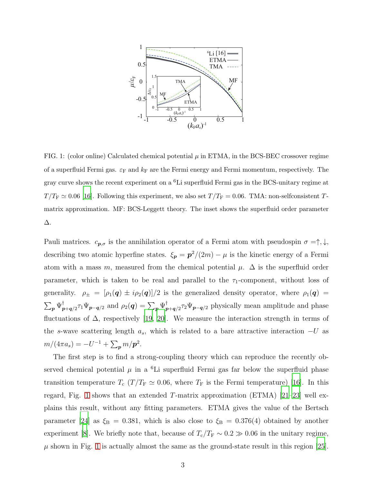

<span id="page-2-0"></span>FIG. 1: (color online) Calculated chemical potential  $\mu$  in ETMA, in the BCS-BEC crossover regime of a superfluid Fermi gas.  $\varepsilon_F$  and  $k_F$  are the Fermi energy and Fermi momentum, respectively. The gray curve shows the recent experiment on a  ${}^{6}$ Li superfluid Fermi gas in the BCS-unitary regime at  $T/T_F \simeq 0.06$  [\[16](#page-9-12)]. Following this experiment, we also set  $T/T_F = 0.06$ . TMA: non-selfconsistent Tmatrix approximation. MF: BCS-Leggett theory. The inset shows the superfluid order parameter ∆.

Pauli matrices.  $c_{p,\sigma}$  is the annihilation operator of a Fermi atom with pseudospin  $\sigma = \uparrow, \downarrow$ , describing two atomic hyperfine states.  $\xi_p = p^2/(2m) - \mu$  is the kinetic energy of a Fermi atom with a mass m, measured from the chemical potential  $\mu$ .  $\Delta$  is the superfluid order parameter, which is taken to be real and parallel to the  $\tau_1$ -component, without loss of generality.  $\rho_{\pm} = [\rho_1(\mathbf{q}) \pm i \rho_2(\mathbf{q})]/2$  is the generalized density operator, where  $\rho_1(\mathbf{q}) =$  $\sum_{\bm p} \Psi_{\bm p}^\dagger$  $_{\bm{p}+\bm{q}/2}^{\dagger}\tau_{1}\Psi_{\bm{p}-\bm{q}/2} \hbox{ and } \rho_{2}(\bm{q})=\sum_{\bm{p}}\Psi_{\bm{p}}^{\dagger}$  $\mathbb{E}_{p+q/2}^{\dagger}$   $\mathbb{F}_{p-q/2}^{\dagger}$  physically mean amplitude and phase fluctuations of  $\Delta$ , respectively [\[19](#page-9-15), [20](#page-9-16)]. We measure the interaction strength in terms of the s-wave scattering length  $a_s$ , which is related to a bare attractive interaction  $-U$  as  $m/(4\pi a_s) = -U^{-1} + \sum_{\bf p} m/{\bf p}^2.$ 

The first step is to find a strong-coupling theory which can reproduce the recently observed chemical potential  $\mu$  in a <sup>6</sup>Li superfluid Fermi gas far below the superfluid phase transition temperature  $T_c$  ( $T/T_F \simeq 0.06$ , where  $T_F$  is the Fermi temperature) [\[16](#page-9-12)]. In this regard, Fig. [1](#page-2-0) shows that an extended  $T$ -matrix approximation (ETMA) [\[21](#page-9-17)[–23\]](#page-9-18) well explains this result, without any fitting parameters. ETMA gives the value of the Bertsch parameter [\[24](#page-10-0)] as  $\xi_B = 0.381$ , which is also close to  $\xi_B = 0.376(4)$  obtained by another experiment [\[8\]](#page-9-5). We briefly note that, because of  $T_c/T_F \sim 0.2 \gg 0.06$  in the unitary regime,  $\mu$  shown in Fig. [1](#page-2-0) is actually almost the same as the ground-state result in this region [\[25\]](#page-10-1).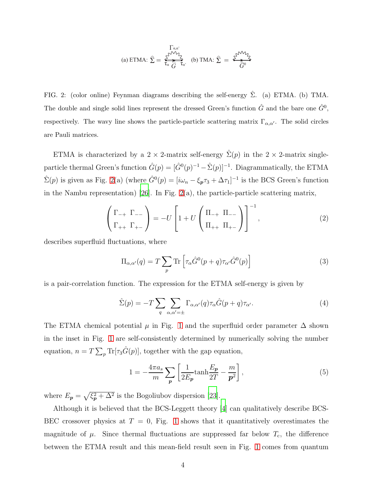(a) ETMA: 
$$
\hat{\Sigma} = \frac{\sum_{\alpha, \alpha'}^{T_{\alpha, \alpha'}}}{\sum_{\alpha}^{T_{\alpha}} \hat{G}} \frac{1}{\hat{G}^{\alpha}} \text{ (b) TMA: } \hat{\Sigma} = \frac{\sum_{\alpha, \beta'}^{T_{\alpha} \mathcal{M}} \sum_{\beta'}^{T_{\beta}}}{\hat{G}^{\alpha}}
$$

<span id="page-3-0"></span>FIG. 2: (color online) Feynman diagrams describing the self-energy  $\Sigma$ . (a) ETMA. (b) TMA. The double and single solid lines represent the dressed Green's function  $\hat{G}$  and the bare one  $\hat{G}^0$ , respectively. The wavy line shows the particle-particle scattering matrix  $\Gamma_{\alpha,\alpha'}$ . The solid circles are Pauli matrices.

ETMA is characterized by a 2 × 2-matrix self-energy  $\hat{\Sigma}(p)$  in the 2 × 2-matrix singleparticle thermal Green's function  $\hat{G}(p) = [\hat{G}^0(p)^{-1} - \hat{\Sigma}(p)]^{-1}$ . Diagrammatically, the ETMA  $\hat{\Sigma}(p)$  is given as Fig. [2\(](#page-3-0)a) (where  $\hat{G}^0(p) = [i\omega_n - \xi_p \tau_3 + \Delta \tau_1]^{-1}$  is the BCS Green's function in the Nambu representation) [\[26\]](#page-10-2). In Fig.  $2(a)$ , the particle-particle scattering matrix,

<span id="page-3-3"></span>
$$
\left(\begin{array}{c}\Gamma_{-+} & \Gamma_{--} \\
\Gamma_{++} & \Gamma_{+-}\end{array}\right) = -U\left[1 + U\left(\begin{array}{c}\Pi_{-+} & \Pi_{--} \\
\Pi_{++} & \Pi_{+-}\end{array}\right)\right]^{-1},\tag{2}
$$

describes superfluid fluctuations, where

<span id="page-3-2"></span>
$$
\Pi_{\alpha,\alpha'}(q) = T \sum_{p} \text{Tr} \left[ \tau_{\alpha} \hat{G}^{0}(p+q) \tau_{\alpha'} \hat{G}^{0}(p) \right]
$$
\n(3)

is a pair-correlation function. The expression for the ETMA self-energy is given by

<span id="page-3-1"></span>
$$
\hat{\Sigma}(p) = -T \sum_{q} \sum_{\alpha,\alpha'= \pm} \Gamma_{\alpha,\alpha'}(q) \tau_{\alpha} \hat{G}(p+q) \tau_{\alpha'}.
$$
\n(4)

The ETMA chemical potential  $\mu$  in Fig. [1](#page-2-0) and the superfluid order parameter  $\Delta$  shown in the inset in Fig. [1](#page-2-0) are self-consistently determined by numerically solving the number equation,  $n = T \sum_p \text{Tr}[\tau_3 \hat{G}(p)]$ , together with the gap equation,

<span id="page-3-4"></span>
$$
1 = -\frac{4\pi a_s}{m} \sum_{\boldsymbol{p}} \left[ \frac{1}{2E_{\boldsymbol{p}}} \tanh \frac{E_{\boldsymbol{p}}}{2T} - \frac{m}{\boldsymbol{p}^2} \right],\tag{5}
$$

where  $E_p = \sqrt{\xi_p^2 + \Delta^2}$  is the Bogoliubov dispersion [\[23\]](#page-9-18).

Although it is believed that the BCS-Leggett theory [\[4](#page-9-2)] can qualitatively describe BCS-BEC crossover physics at  $T = 0$ , Fig. [1](#page-2-0) shows that it quantitatively overestimates the magnitude of  $\mu$ . Since thermal fluctuations are suppressed far below  $T_c$ , the difference between the ETMA result and this mean-field result seen in Fig. [1](#page-2-0) comes from quantum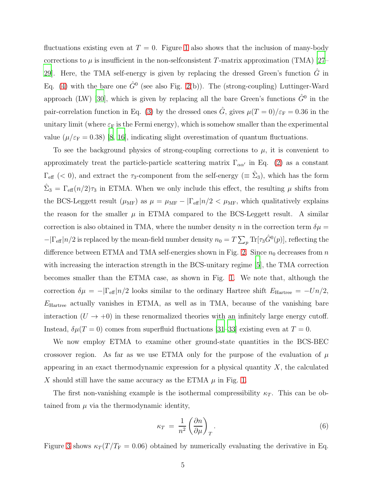fluctuations existing even at  $T = 0$ . Figure [1](#page-2-0) also shows that the inclusion of many-body corrections to  $\mu$  is insufficient in the non-selfconsistent T-matrix approximation (TMA) [\[27](#page-10-3)– [29\]](#page-10-4). Here, the TMA self-energy is given by replacing the dressed Green's function  $\hat{G}$  in Eq. [\(4\)](#page-3-1) with the bare one  $\hat{G}^0$  (see also Fig. [2\(](#page-3-0)b)). The (strong-coupling) Luttinger-Ward approach (LW) [\[30](#page-10-5)], which is given by replacing all the bare Green's functions  $\hat{G}^0$  in the pair-correlation function in Eq. [\(3\)](#page-3-2) by the dressed ones  $\hat{G}$ , gives  $\mu(T=0)/\varepsilon_{\rm F}=0.36$  in the unitary limit (where  $\varepsilon_F$  is the Fermi energy), which is somehow smaller than the experimental value ( $\mu/\varepsilon_F = 0.38$ ) [\[8](#page-9-5), [16](#page-9-12)], indicating slight overestimation of quantum fluctuations.

To see the background physics of strong-coupling corrections to  $\mu$ , it is convenient to approximately treat the particle-particle scattering matrix  $\Gamma_{\alpha\alpha'}$  in Eq. [\(2\)](#page-3-3) as a constant  $\Gamma_{\text{eff}}$  (< 0), and extract the  $\tau_3$ -component from the self-energy ( $\equiv \hat{\Sigma}_3$ ), which has the form  $\hat{\Sigma}_3 = \Gamma_{\text{eff}}(n/2)\tau_3$  in ETMA. When we only include this effect, the resulting  $\mu$  shifts from the BCS-Leggett result  $(\mu_{MF})$  as  $\mu = \mu_{MF} - |\Gamma_{eff}| n/2 < \mu_{MF}$ , which qualitatively explains the reason for the smaller  $\mu$  in ETMA compared to the BCS-Leggett result. A similar correction is also obtained in TMA, where the number density n in the correction term  $\delta \mu =$  $-|\Gamma_{\text{eff}}|n/2$  is replaced by the mean-field number density  $n_0 = T \sum_p \text{Tr}[\tau_3 \hat{G}^0(p)]$ , reflecting the difference between ETMA and TMA self-energies shown in Fig. [2.](#page-3-0) Since  $n_0$  decreases from n with increasing the interaction strength in the BCS-unitary regime [\[5\]](#page-9-19), the TMA correction becomes smaller than the ETMA case, as shown in Fig. [1.](#page-2-0) We note that, although the correction  $\delta \mu = -|\Gamma_{\text{eff}}|n/2$  looks similar to the ordinary Hartree shift  $E_{\text{Hartree}} = -Un/2$ ,  $E_{\text{Hartree}}$  actually vanishes in ETMA, as well as in TMA, because of the vanishing bare interaction  $(U \to +0)$  in these renormalized theories with an infinitely large energy cutoff. Instead,  $\delta \mu(T=0)$  comes from superfluid fluctuations [\[31](#page-10-6)[–33](#page-10-7)] existing even at  $T=0$ .

We now employ ETMA to examine other ground-state quantities in the BCS-BEC crossover region. As far as we use ETMA only for the purpose of the evaluation of  $\mu$ appearing in an exact thermodynamic expression for a physical quantity  $X$ , the calculated X should still have the same accuracy as the ETMA  $\mu$  in Fig. [1.](#page-2-0)

The first non-vanishing example is the isothermal compressibility  $\kappa_T$ . This can be obtained from  $\mu$  via the thermodynamic identity,

<span id="page-4-0"></span>
$$
\kappa_T = \frac{1}{n^2} \left( \frac{\partial n}{\partial \mu} \right)_T.
$$
\n(6)

Figure [3](#page-5-0) shows  $\kappa_T (T/T_F = 0.06)$  obtained by numerically evaluating the derivative in Eq.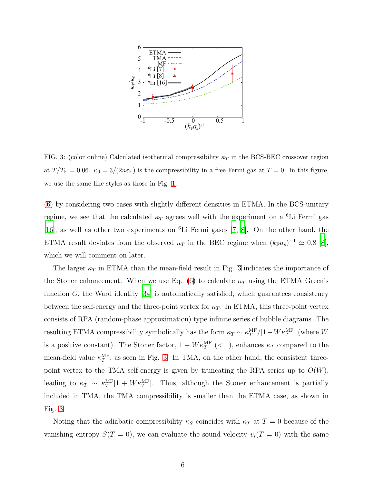

<span id="page-5-0"></span>FIG. 3: (color online) Calculated isothermal compressibility  $\kappa_T$  in the BCS-BEC crossover region at  $T/T_F = 0.06$ .  $\kappa_0 = 3/(2n\varepsilon_F)$  is the compressibility in a free Fermi gas at  $T = 0$ . In this figure, we use the same line styles as those in Fig. [1.](#page-2-0)

[\(6\)](#page-4-0) by considering two cases with slightly different densities in ETMA. In the BCS-unitary regime, we see that the calculated  $\kappa_T$  agrees well with the experiment on a <sup>6</sup>Li Fermi gas [\[16\]](#page-9-12), as well as other two experiments on <sup>6</sup>Li Fermi gases [\[7,](#page-9-4) [8\]](#page-9-5). On the other hand, the ETMA result deviates from the observed  $\kappa_T$  in the BEC regime when  $(k_F a_s)^{-1} \simeq 0.8$  [\[8\]](#page-9-5), which we will comment on later.

The larger  $\kappa_T$  in ETMA than the mean-field result in Fig. [3](#page-5-0) indicates the importance of the Stoner enhancement. When we use Eq. [\(6\)](#page-4-0) to calculate  $\kappa_T$  using the ETMA Green's function  $G$ , the Ward identity [\[34\]](#page-10-8) is automatically satisfied, which guarantees consistency between the self-energy and the three-point vertex for  $\kappa_T$ . In ETMA, this three-point vertex consists of RPA (random-phase approximation) type infinite series of bubble diagrams. The resulting ETMA compressibility symbolically has the form  $\kappa_T \sim \kappa_T^{\text{MF}}$  $_{T}^{\text{MF}}/[1-W\kappa_{T}^{\text{MF}}]$  (where  $W$ is a positive constant). The Stoner factor,  $1 - W \kappa_T^{\text{MF}}$  (< 1), enhances  $\kappa_T$  compared to the mean-field value  $\kappa_T^{\text{MF}}$  $T<sup>MF</sup>$ , as seen in Fig. [3.](#page-5-0) In TMA, on the other hand, the consistent threepoint vertex to the TMA self-energy is given by truncating the RPA series up to  $O(W)$ , leading to  $\kappa_T \sim \kappa_T^{\text{MF}}$  $T_T^{\text{MF}}[1 + W \kappa_T^{\text{MF}}]$ . Thus, although the Stoner enhancement is partially included in TMA, the TMA compressibility is smaller than the ETMA case, as shown in Fig. [3.](#page-5-0)

Noting that the adiabatic compressibility  $\kappa_S$  coincides with  $\kappa_T$  at  $T = 0$  because of the vanishing entropy  $S(T = 0)$ , we can evaluate the sound velocity  $v_s(T = 0)$  with the same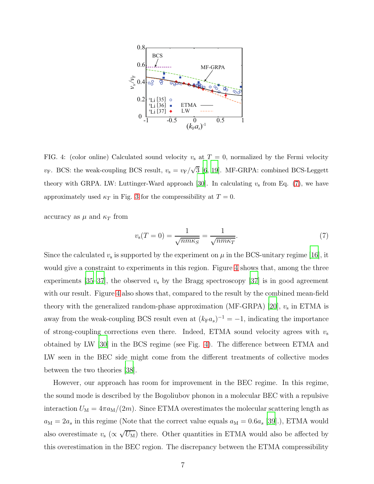

<span id="page-6-1"></span>FIG. 4: (color online) Calculated sound velocity  $v<sub>s</sub>$  at  $T = 0$ , normalized by the Fermi velocity  $v_{\rm F}$ . BCS: the weak-coupling BCS result,  $v_{\rm s} = v_{\rm F}/\sqrt{3}$  [\[6](#page-9-3), [19](#page-9-15)]. MF-GRPA: combined BCS-Leggett theory with GRPA. LW: Luttinger-Ward approach [\[30\]](#page-10-5). In calculating  $v_s$  from Eq. [\(7\)](#page-6-0), we have approximately used  $\kappa_T$  in Fig. [3](#page-5-0) for the compressibility at  $T = 0$ .

accuracy as  $\mu$  and  $\kappa_T$  from

<span id="page-6-0"></span>
$$
v_{\rm s}(T=0) = \frac{1}{\sqrt{nm\kappa_S}} = \frac{1}{\sqrt{nm\kappa_T}}.\tag{7}
$$

Since the calculated  $v_{\rm s}$  is supported by the experiment on  $\mu$  in the BCS-unitary regime [\[16\]](#page-9-12), it would give a constraint to experiments in this region. Figure [4](#page-6-1) shows that, among the three experiments [\[35](#page-10-9)[–37\]](#page-10-10), the observed  $v<sub>s</sub>$  by the Bragg spectroscopy [\[37](#page-10-10)] is in good agreement with our result. Figure [4](#page-6-1) also shows that, compared to the result by the combined mean-field theory with the generalized random-phase approximation (MF-GRPA) [\[20](#page-9-16)],  $v_s$  in ETMA is away from the weak-coupling BCS result even at  $(k_F a_s)^{-1} = -1$ , indicating the importance of strong-coupling corrections even there. Indeed, ETMA sound velocity agrees with  $v<sub>s</sub>$ obtained by LW [\[30](#page-10-5)] in the BCS regime (see Fig. [4\)](#page-6-1). The difference between ETMA and LW seen in the BEC side might come from the different treatments of collective modes between the two theories [\[38](#page-10-11)].

However, our approach has room for improvement in the BEC regime. In this regime, the sound mode is described by the Bogoliubov phonon in a molecular BEC with a repulsive interaction  $U_M = 4\pi a_M/(2m)$ . Since ETMA overestimates the molecular scattering length as  $a_M = 2a_s$  in this regime (Note that the correct value equals  $a_M = 0.6a_s$  [\[39\]](#page-10-12).), ETMA would also overestimate  $v_s$  ( $\propto \sqrt{U_M}$ ) there. Other quantities in ETMA would also be affected by this overestimation in the BEC region. The discrepancy between the ETMA compressibility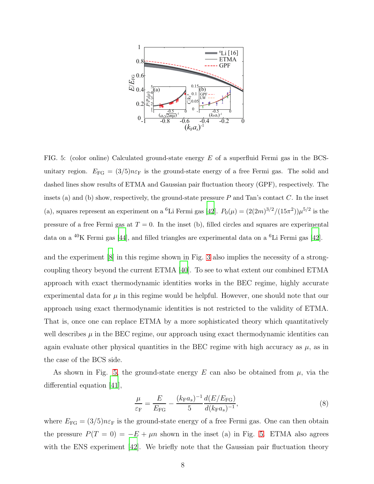

<span id="page-7-0"></span>FIG. 5: (color online) Calculated ground-state energy  $E$  of a superfluid Fermi gas in the BCSunitary region.  $E_{FG} = (3/5)n\varepsilon_F$  is the ground-state energy of a free Fermi gas. The solid and dashed lines show results of ETMA and Gaussian pair fluctuation theory (GPF), respectively. The insets (a) and (b) show, respectively, the ground-state pressure  $P$  and Tan's contact  $C$ . In the inset (a), squares represent an experiment on a <sup>6</sup>Li Fermi gas [\[42\]](#page-11-0).  $P_0(\mu) = (2(2m)^{3/2}/(15\pi^2))\mu^{5/2}$  is the pressure of a free Fermi gas at  $T = 0$ . In the inset (b), filled circles and squares are experimental data on a <sup>40</sup>K Fermi gas [\[44](#page-11-1)], and filled triangles are experimental data on a <sup>6</sup>Li Fermi gas [\[42](#page-11-0)].

and the experiment [\[8](#page-9-5)] in this regime shown in Fig. [3](#page-5-0) also implies the necessity of a strongcoupling theory beyond the current ETMA [\[40](#page-10-13)]. To see to what extent our combined ETMA approach with exact thermodynamic identities works in the BEC regime, highly accurate experimental data for  $\mu$  in this regime would be helpful. However, one should note that our approach using exact thermodynamic identities is not restricted to the validity of ETMA. That is, once one can replace ETMA by a more sophisticated theory which quantitatively well describes  $\mu$  in the BEC regime, our approach using exact thermodynamic identities can again evaluate other physical quantities in the BEC regime with high accuracy as  $\mu$ , as in the case of the BCS side.

As shown in Fig. [5,](#page-7-0) the ground-state energy E can also be obtained from  $\mu$ , via the differential equation [\[41](#page-10-14)],

$$
\frac{\mu}{\varepsilon_{\rm F}} = \frac{E}{E_{\rm FG}} - \frac{(k_{\rm F}a_s)^{-1}}{5} \frac{d(E/E_{\rm FG})}{d(k_{\rm F}a_s)^{-1}},\tag{8}
$$

where  $E_{FG} = (3/5)n\varepsilon_F$  is the ground-state energy of a free Fermi gas. One can then obtain the pressure  $P(T = 0) = -E + \mu n$  shown in the inset (a) in Fig. [5.](#page-7-0) ETMA also agrees with the ENS experiment [\[42\]](#page-11-0). We briefly note that the Gaussian pair fluctuation theory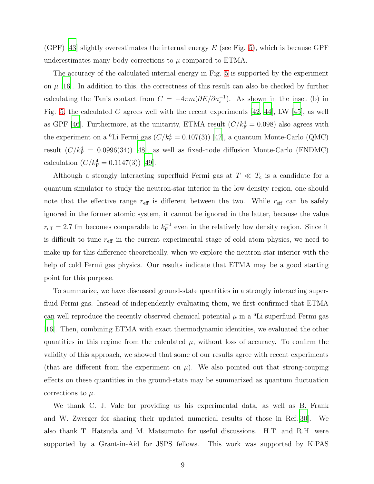(GPF) [\[43\]](#page-11-2) slightly overestimates the internal energy E (see Fig. [5\)](#page-7-0), which is because GPF underestimates many-body corrections to  $\mu$  compared to ETMA.

The accuracy of the calculated internal energy in Fig. [5](#page-7-0) is supported by the experiment on  $\mu$  [\[16\]](#page-9-12). In addition to this, the correctness of this result can also be checked by further calculating the Tan's contact from  $C = -4\pi m(\partial E/\partial a_s^{-1})$ . As shown in the inset (b) in Fig. [5,](#page-7-0) the calculated  $C$  agrees well with the recent experiments [\[42](#page-11-0), [44](#page-11-1)], LW [\[45\]](#page-11-3), as well as GPF [\[46](#page-11-4)]. Furthermore, at the unitarity, ETMA result  $(C/k_F^4 = 0.098)$  also agrees with the experiment on a <sup>6</sup>Li Fermi gas  $(C/k_F^4 = 0.107(3))$  [\[47](#page-11-5)], a quantum Monte-Carlo (QMC) result  $(C/k_F^4 = 0.0996(34))$  [\[48\]](#page-11-6), as well as fixed-node diffusion Monte-Carlo (FNDMC) calculation  $(C/k_F^4 = 0.1147(3))$  [\[49](#page-11-7)].

Although a strongly interacting superfluid Fermi gas at  $T \ll T_c$  is a candidate for a quantum simulator to study the neutron-star interior in the low density region, one should note that the effective range  $r_{\text{eff}}$  is different between the two. While  $r_{\text{eff}}$  can be safely ignored in the former atomic system, it cannot be ignored in the latter, because the value  $r_{\text{eff}} = 2.7$  fm becomes comparable to  $k_{\text{F}}^{-1}$  even in the relatively low density region. Since it is difficult to tune  $r_{\text{eff}}$  in the current experimental stage of cold atom physics, we need to make up for this difference theoretically, when we explore the neutron-star interior with the help of cold Fermi gas physics. Our results indicate that ETMA may be a good starting point for this purpose.

To summarize, we have discussed ground-state quantities in a strongly interacting superfluid Fermi gas. Instead of independently evaluating them, we first confirmed that ETMA can well reproduce the recently observed chemical potential  $\mu$  in a <sup>6</sup>Li superfluid Fermi gas [\[16\]](#page-9-12). Then, combining ETMA with exact thermodynamic identities, we evaluated the other quantities in this regime from the calculated  $\mu$ , without loss of accuracy. To confirm the validity of this approach, we showed that some of our results agree with recent experiments (that are different from the experiment on  $\mu$ ). We also pointed out that strong-couping effects on these quantities in the ground-state may be summarized as quantum fluctuation corrections to  $\mu$ .

We thank C. J. Vale for providing us his experimental data, as well as B. Frank and W. Zwerger for sharing their updated numerical results of those in Ref.[\[30](#page-10-5)]. We also thank T. Hatsuda and M. Matsumoto for useful discussions. H.T. and R.H. were supported by a Grant-in-Aid for JSPS fellows. This work was supported by KiPAS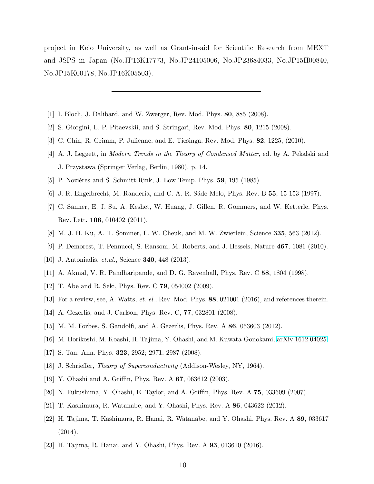project in Keio University, as well as Grant-in-aid for Scientific Research from MEXT and JSPS in Japan (No.JP16K17773, No.JP24105006, No.JP23684033, No.JP15H00840, No.JP15K00178, No.JP16K05503).

- <span id="page-9-0"></span>[1] I. Bloch, J. Dalibard, and W. Zwerger, Rev. Mod. Phys. 80, 885 (2008).
- <span id="page-9-1"></span>[2] S. Giorgini, L. P. Pitaevskii, and S. Stringari, Rev. Mod. Phys. 80, 1215 (2008).
- <span id="page-9-2"></span>[3] C. Chin, R. Grimm, P. Julienne, and E. Tiesinga, Rev. Mod. Phys. 82, 1225, (2010).
- [4] A. J. Leggett, in Modern Trends in the Theory of Condensed Matter, ed. by A. Pekalski and J. Przystawa (Springer Verlag, Berlin, 1980), p. 14.
- <span id="page-9-19"></span><span id="page-9-3"></span>[5] P. Nozières and S. Schmitt-Rink, J. Low Temp. Phys.  $59$ ,  $195$  (1985).
- <span id="page-9-4"></span>[6] J. R. Engelbrecht, M. Randeria, and C. A. R. Sáde Melo, Phys. Rev. B 55, 15 153 (1997).
- [7] C. Sanner, E. J. Su, A. Keshet, W. Huang, J. Gillen, R. Gommers, and W. Ketterle, Phys. Rev. Lett. 106, 010402 (2011).
- <span id="page-9-6"></span><span id="page-9-5"></span>[8] M. J. H. Ku, A. T. Sommer, L. W. Cheuk, and M. W. Zwierlein, Science 335, 563 (2012).
- <span id="page-9-7"></span>[9] P. Demorest, T. Pennucci, S. Ransom, M. Roberts, and J. Hessels, Nature 467, 1081 (2010).
- [10] J. Antoniadis, *et.al.*, Science **340**, 448 (2013).
- <span id="page-9-8"></span>[11] A. Akmal, V. R. Pandharipande, and D. G. Ravenhall, Phys. Rev. C 58, 1804 (1998).
- [12] T. Abe and R. Seki, Phys. Rev. C 79, 054002 (2009).
- <span id="page-9-9"></span>[13] For a review, see, A. Watts, *et. el.*, Rev. Mod. Phys. 88, 021001 (2016), and references therein.
- <span id="page-9-10"></span>[14] A. Gezerlis, and J. Carlson, Phys. Rev. C, **77**, 032801 (2008).
- <span id="page-9-11"></span>[15] M. M. Forbes, S. Gandolfi, and A. Gezerlis, Phys. Rev. A 86, 053603 (2012).
- <span id="page-9-12"></span>[16] M. Horikoshi, M. Koashi, H. Tajima, Y. Ohashi, and M. Kuwata-Gonokami, [arXiv:1612.04025.](http://arxiv.org/abs/1612.04025)
- <span id="page-9-13"></span>[17] S. Tan, Ann. Phys. **323**, 2952; 2971; 2987 (2008).
- <span id="page-9-14"></span>[18] J. Schrieffer, *Theory of Superconductivity* (Addison-Wesley, NY, 1964).
- <span id="page-9-15"></span>[19] Y. Ohashi and A. Griffin, Phys. Rev. A 67, 063612 (2003).
- <span id="page-9-16"></span>[20] N. Fukushima, Y. Ohashi, E. Taylor, and A. Griffin, Phys. Rev. A 75, 033609 (2007).
- <span id="page-9-17"></span>[21] T. Kashimura, R. Watanabe, and Y. Ohashi, Phys. Rev. A 86, 043622 (2012).
- [22] H. Tajima, T. Kashimura, R. Hanai, R. Watanabe, and Y. Ohashi, Phys. Rev. A 89, 033617 (2014).
- <span id="page-9-18"></span>[23] H. Tajima, R. Hanai, and Y. Ohashi, Phys. Rev. A 93, 013610 (2016).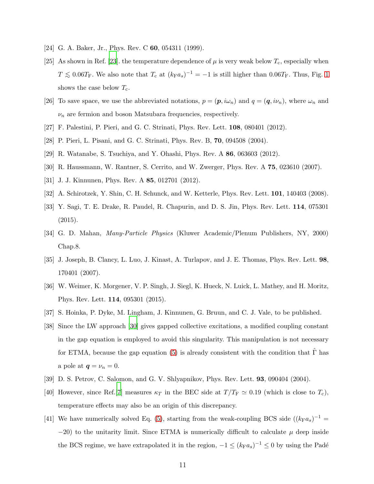- <span id="page-10-1"></span><span id="page-10-0"></span>[24] G. A. Baker, Jr., Phys. Rev. C 60, 054311 (1999).
- [25] As shown in Ref. [\[23\]](#page-9-18). the temperature dependence of  $\mu$  is very weak below  $T_c$ , especially when  $T \lesssim 0.06T_F$ . We also note that  $T_c$  at  $(k_F a_s)^{-1} = -1$  is still higher than  $0.06T_F$ . Thus, Fig. [1](#page-2-0) shows the case below  $T_c$ .
- <span id="page-10-2"></span>[26] To save space, we use the abbreviated notations,  $p = (p, i\omega_n)$  and  $q = (q, i\nu_n)$ , where  $\omega_n$  and  $\nu_n$  are fermion and boson Matsubara frequencies, respectively.
- <span id="page-10-3"></span>[27] F. Palestini, P. Pieri, and G. C. Strinati, Phys. Rev. Lett. 108, 080401 (2012).
- <span id="page-10-4"></span>[28] P. Pieri, L. Pisani, and G. C. Strinati, Phys. Rev. B, 70, 094508 (2004).
- <span id="page-10-5"></span>[29] R. Watanabe, S. Tsuchiya, and Y. Ohashi, Phys. Rev. A 86, 063603 (2012).
- <span id="page-10-6"></span>[30] R. Haussmann, W. Rantner, S. Cerrito, and W. Zwerger, Phys. Rev. A 75, 023610 (2007).
- [31] J. J. Kinnunen, Phys. Rev. A 85, 012701 (2012).
- <span id="page-10-7"></span>[32] A. Schirotzek, Y. Shin, C. H. Schunck, and W. Ketterle, Phys. Rev. Lett. 101, 140403 (2008).
- [33] Y. Sagi, T. E. Drake, R. Paudel, R. Chapurin, and D. S. Jin, Phys. Rev. Lett. 114, 075301 (2015).
- <span id="page-10-8"></span>[34] G. D. Mahan, Many-Particle Physics (Kluwer Academic/Plenum Publishers, NY, 2000) Chap.8.
- <span id="page-10-9"></span>[35] J. Joseph, B. Clancy, L. Luo, J. Kinast, A. Turlapov, and J. E. Thomas, Phys. Rev. Lett. 98, 170401 (2007).
- [36] W. Weimer, K. Morgener, V. P. Singh, J. Siegl, K. Hueck, N. Luick, L. Mathey, and H. Moritz, Phys. Rev. Lett. 114, 095301 (2015).
- <span id="page-10-10"></span>[37] S. Hoinka, P. Dyke, M. Lingham, J. Kinnunen, G. Bruun, and C. J. Vale, to be published.
- <span id="page-10-11"></span>[38] Since the LW approach [\[30\]](#page-10-5) gives gapped collective excitations, a modified coupling constant in the gap equation is employed to avoid this singularity. This manipulation is not necessary for ETMA, because the gap equation [\(5\)](#page-3-4) is already consistent with the condition that  $\hat{\Gamma}$  has a pole at  $q = \nu_n = 0$ .
- <span id="page-10-12"></span>[39] D. S. Petrov, C. Salomon, and G. V. Shlyapnikov, Phys. Rev. Lett. 93, 090404 (2004).
- <span id="page-10-13"></span>[40] However, since Ref.[\[7\]](#page-9-4) measures  $\kappa_T$  in the BEC side at  $T/T_F \simeq 0.19$  (which is close to  $T_c$ ), temperature effects may also be an origin of this discrepancy.
- <span id="page-10-14"></span>[41] We have numerically solved Eq. [\(5\)](#page-3-4), starting from the weak-coupling BCS side  $((k_{\text{F}}a_s)^{-1}$  $-20$ ) to the unitarity limit. Since ETMA is numerically difficult to calculate  $\mu$  deep inside the BCS regime, we have extrapolated it in the region,  $-1 \leq (k_{\rm F}a_s)^{-1} \leq 0$  by using the Padé